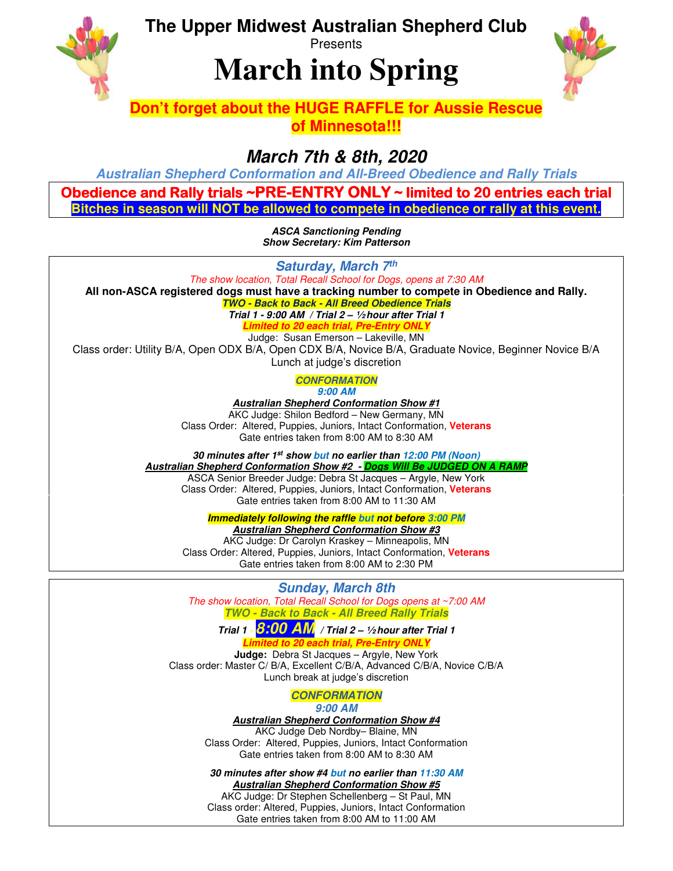**The Upper Midwest Australian Shepherd Club** 



## **Presents**

# **March into Spring**



## **Don't forget about the HUGE RAFFLE for Aussie Rescue of Minnesota!!!**

## **March 7th & 8th, 2020**

**Australian Shepherd Conformation and All-Breed Obedience and Rally Trials** 

Obedience and Rally trials ~PRE-ENTRY ONLY ~ limited to 20 entries each trial **Bitches in season will NOT be allowed to compete in obedience or rally at this event.**

> **ASCA Sanctioning Pending Show Secretary: Kim Patterson**

**Saturday, March 7th** The show location, Total Recall School for Dogs, opens at 7:30 AM **All non-ASCA registered dogs must have a tracking number to compete in Obedience and Rally. TWO - Back to Back - All Breed Obedience Trials Trial 1 - 9:00 AM / Trial 2 – ½ hour after Trial 1**

> **Limited to 20 each trial, Pre-Entry ONLY**  Judge: Susan Emerson – Lakeville, MN

Class order: Utility B/A, Open ODX B/A, Open CDX B/A, Novice B/A, Graduate Novice, Beginner Novice B/A

Lunch at judge's discretion

**CONFORMATION 9:00 AM** 

**Australian Shepherd Conformation Show #1**  AKC Judge: Shilon Bedford – New Germany, MN Class Order: Altered, Puppies, Juniors, Intact Conformation, **Veterans** Gate entries taken from 8:00 AM to 8:30 AM

**30 minutes after 1st show but no earlier than 12:00 PM (Noon) Australian Shepherd Conformation Show #2 - Dogs Will Be JUDGED ON A RAMP** 

ASCA Senior Breeder Judge: Debra St Jacques – Argyle, New York Class Order: Altered, Puppies, Juniors, Intact Conformation, **Veterans** Gate entries taken from 8:00 AM to 11:30 AM

**Immediately following the raffle but not before 3:00 PM** 

**Australian Shepherd Conformation Show #3** 

AKC Judge: Dr Carolyn Kraskey – Minneapolis, MN Class Order: Altered, Puppies, Juniors, Intact Conformation, **Veterans** Gate entries taken from 8:00 AM to 2:30 PM

## **Sunday, March 8th**

The show location, Total Recall School for Dogs opens at ~7:00 AM **TWO - Back to Back - All Breed Rally Trials** 

**Trial 1 - 8:00 AM / Trial 2 – ½ hour after Trial 1 Limited to 20 each trial, Pre-Entry ONLY** 

**Judge:** Debra St Jacques – Argyle, New York Class order: Master C/ B/A, Excellent C/B/A, Advanced C/B/A, Novice C/B/A Lunch break at judge's discretion

> **CONFORMATION 9:00 AM**

**Australian Shepherd Conformation Show #4**

AKC Judge Deb Nordby– Blaine, MN Class Order: Altered, Puppies, Juniors, Intact Conformation Gate entries taken from 8:00 AM to 8:30 AM

**30 minutes after show #4 but no earlier than 11:30 AM Australian Shepherd Conformation Show #5** 

AKC Judge: Dr Stephen Schellenberg – St Paul, MN Class order: Altered, Puppies, Juniors, Intact Conformation Gate entries taken from 8:00 AM to 11:00 AM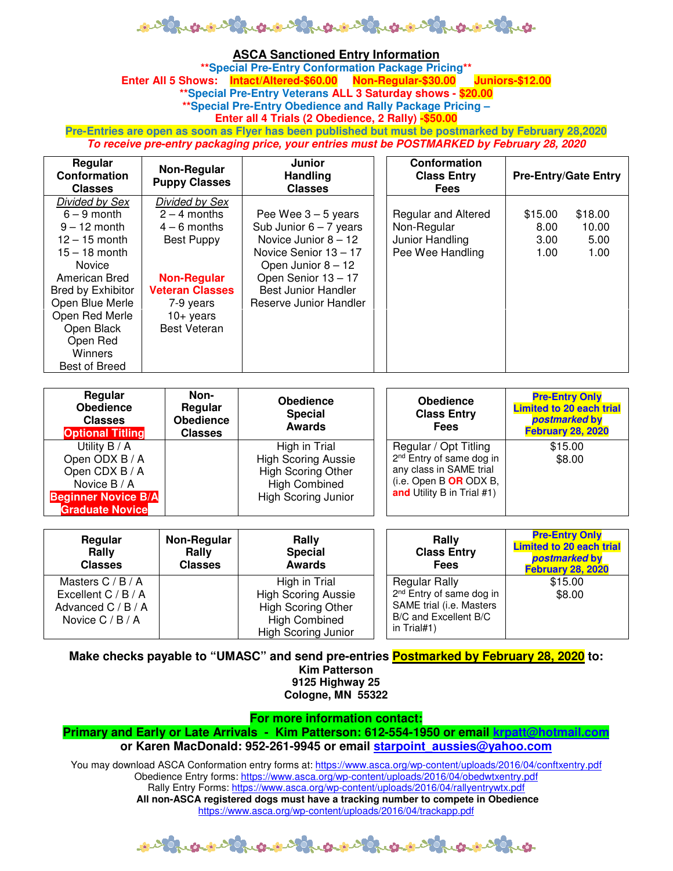

#### **ASCA Sanctioned Entry Information**

**\*\*Special Pre-Entry Conformation Package Pricing\*\***  Enter All 5 Shows: **Intact/Altered-\$60.00 Non-Regular-\$30.00 \*\*Special Pre-Entry Veterans ALL 3 Saturday shows - \$20.00 \*\*Special Pre-Entry Obedience and Rally Package Pricing – Enter all 4 Trials (2 Obedience, 2 Rally) -\$50.00** 

**Pre-Entries are open as soon as Flyer has been published but must be postmarked by February 28,2020 To receive pre-entry packaging price, your entries must be POSTMARKED by February 28, 2020** 

| Regular<br><b>Conformation</b><br><b>Classes</b> | Non-Regular<br><b>Puppy Classes</b> | Junior<br><b>Handling</b><br><b>Classes</b> | Conformation<br><b>Class Entry</b><br><b>Fees</b> | <b>Pre-Entry/Gate Entry</b> |         |
|--------------------------------------------------|-------------------------------------|---------------------------------------------|---------------------------------------------------|-----------------------------|---------|
| Divided by Sex                                   | Divided by Sex                      |                                             |                                                   |                             |         |
| $6 - 9$ month                                    | $2 - 4$ months                      | Pee Wee $3 - 5$ years                       | Regular and Altered                               | \$15.00                     | \$18.00 |
| $9 - 12$ month                                   | $4 - 6$ months                      | Sub Junior $6 - 7$ years                    | Non-Regular                                       | 8.00                        | 10.00   |
| $12 - 15$ month                                  | Best Puppy                          | Novice Junior $8 - 12$                      | Junior Handling                                   | 3.00                        | 5.00    |
| $15 - 18$ month                                  |                                     | Novice Senior 13 - 17                       | Pee Wee Handling                                  | 1.00                        | 1.00    |
| <b>Novice</b>                                    |                                     | Open Junior $8 - 12$                        |                                                   |                             |         |
| American Bred                                    | <b>Non-Regular</b>                  | Open Senior 13 - 17                         |                                                   |                             |         |
| Bred by Exhibitor                                | <b>Veteran Classes</b>              | <b>Best Junior Handler</b>                  |                                                   |                             |         |
| Open Blue Merle                                  | 7-9 years                           | Reserve Junior Handler                      |                                                   |                             |         |
| Open Red Merle                                   | $10+$ years                         |                                             |                                                   |                             |         |
| Open Black                                       | <b>Best Veteran</b>                 |                                             |                                                   |                             |         |
| Open Red                                         |                                     |                                             |                                                   |                             |         |
| Winners                                          |                                     |                                             |                                                   |                             |         |
| Best of Breed                                    |                                     |                                             |                                                   |                             |         |

| Regular<br><b>Obedience</b><br><b>Classes</b><br><b>Optional Titling</b> | Non-<br>Regular<br><b>Obedience</b><br><b>Classes</b> | <b>Obedience</b><br><b>Special</b><br><b>Awards</b> | <b>Obedience</b><br><b>Class Entry</b><br><b>Fees</b> | <b>Pre-Entry Only</b><br><b>Limited to 20 each trial</b><br>postmarked by<br><b>February 28, 2020</b> |
|--------------------------------------------------------------------------|-------------------------------------------------------|-----------------------------------------------------|-------------------------------------------------------|-------------------------------------------------------------------------------------------------------|
| Utility B / A                                                            |                                                       | High in Trial                                       | Regular / Opt Titling                                 | \$15.00                                                                                               |
| Open ODX B / A                                                           |                                                       | <b>High Scoring Aussie</b>                          | 2 <sup>nd</sup> Entry of same dog in                  | \$8.00                                                                                                |
| Open CDX B / A                                                           |                                                       | <b>High Scoring Other</b>                           | any class in SAME trial                               |                                                                                                       |
| Novice B / A                                                             |                                                       | <b>High Combined</b>                                | (i.e. Open B OR ODX B,                                |                                                                                                       |
| <b>Beginner Novice B/A</b>                                               |                                                       | <b>High Scoring Junior</b>                          | and Utility B in Trial #1)                            |                                                                                                       |
| <b>Graduate Novice</b>                                                   |                                                       |                                                     |                                                       |                                                                                                       |

| Regular<br>Rally<br><b>Classes</b> | Non-Regular<br>Rally<br><b>Classes</b> | Rally<br><b>Special</b><br><b>Awards</b> | Rally<br><b>Class Entry</b><br><b>Fees</b> | <b>Pre-Entry Only</b><br><b>Limited to 20 each trial</b><br>postmarked by<br><b>February 28, 2020</b> |
|------------------------------------|----------------------------------------|------------------------------------------|--------------------------------------------|-------------------------------------------------------------------------------------------------------|
| Masters $C / B / A$                |                                        | High in Trial                            | <b>Regular Rally</b>                       | \$15.00                                                                                               |
| Excellent $C / B / A$              |                                        | <b>High Scoring Aussie</b>               | 2 <sup>nd</sup> Entry of same dog in       | \$8.00                                                                                                |
| Advanced $C / B / A$               |                                        | <b>High Scoring Other</b>                | SAME trial (i.e. Masters                   |                                                                                                       |
| Novice $C / B / A$                 |                                        | <b>High Combined</b>                     | B/C and Excellent B/C<br>in Trial#1)       |                                                                                                       |
|                                    |                                        | <b>High Scoring Junior</b>               |                                            |                                                                                                       |

**Make checks payable to "UMASC" and send pre-entries Postmarked by February 28, 2020 to: Kim Patterson 9125 Highway 25** 

**Cologne, MN 55322** 

#### **For more information contact:**

**Primary and Early or Late Arrivals - Kim Patterson: 612-554-1950 or email krpatt@hotmail.com or Karen MacDonald: 952-261-9945 or email starpoint\_aussies@yahoo.com** 

You may download ASCA Conformation entry forms at: https://www.asca.org/wp-content/uploads/2016/04/conftxentry.pdf Obedience Entry forms: https://www.asca.org/wp-content/uploads/2016/04/obedwtxentry.pdf Rally Entry Forms: https://www.asca.org/wp-content/uploads/2016/04/rallyentrywtx.pdf **All non-ASCA registered dogs must have a tracking number to compete in Obedience**  https://www.asca.org/wp-content/uploads/2016/04/trackapp.pdf

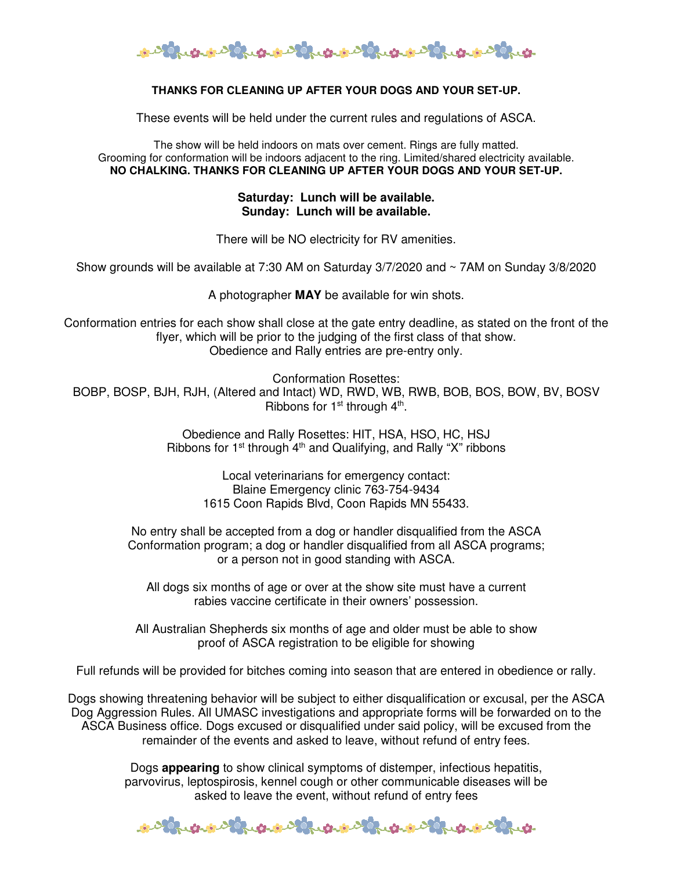

### **THANKS FOR CLEANING UP AFTER YOUR DOGS AND YOUR SET-UP.**

These events will be held under the current rules and regulations of ASCA.

The show will be held indoors on mats over cement. Rings are fully matted. Grooming for conformation will be indoors adjacent to the ring. Limited/shared electricity available. **NO CHALKING. THANKS FOR CLEANING UP AFTER YOUR DOGS AND YOUR SET-UP.**

> **Saturday: Lunch will be available. Sunday: Lunch will be available.**

There will be NO electricity for RV amenities.

Show grounds will be available at 7:30 AM on Saturday 3/7/2020 and ~ 7AM on Sunday 3/8/2020

A photographer **MAY** be available for win shots.

Conformation entries for each show shall close at the gate entry deadline, as stated on the front of the flyer, which will be prior to the judging of the first class of that show. Obedience and Rally entries are pre-entry only.

Conformation Rosettes: BOBP, BOSP, BJH, RJH, (Altered and Intact) WD, RWD, WB, RWB, BOB, BOS, BOW, BV, BOSV Ribbons for  $1<sup>st</sup>$  through  $4<sup>th</sup>$ .

> Obedience and Rally Rosettes: HIT, HSA, HSO, HC, HSJ Ribbons for  $1<sup>st</sup>$  through  $4<sup>th</sup>$  and Qualifying, and Rally "X" ribbons

> > Local veterinarians for emergency contact: Blaine Emergency clinic 763-754-9434 1615 Coon Rapids Blvd, Coon Rapids MN 55433.

No entry shall be accepted from a dog or handler disqualified from the ASCA Conformation program; a dog or handler disqualified from all ASCA programs; or a person not in good standing with ASCA.

All dogs six months of age or over at the show site must have a current rabies vaccine certificate in their owners' possession.

All Australian Shepherds six months of age and older must be able to show proof of ASCA registration to be eligible for showing

Full refunds will be provided for bitches coming into season that are entered in obedience or rally.

Dogs showing threatening behavior will be subject to either disqualification or excusal, per the ASCA Dog Aggression Rules. All UMASC investigations and appropriate forms will be forwarded on to the ASCA Business office. Dogs excused or disqualified under said policy, will be excused from the remainder of the events and asked to leave, without refund of entry fees.

> Dogs **appearing** to show clinical symptoms of distemper, infectious hepatitis, parvovirus, leptospirosis, kennel cough or other communicable diseases will be asked to leave the event, without refund of entry fees

1000 rue ou 1000 rue ou 1000 rue ou 1000 rue ou 1000 rue